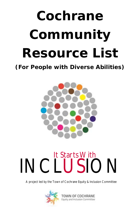# **Cochrane Community Resource List**

**(For People with Diverse Abilities)**



## INCLUSION It Starts With

A project led by the Town of Cochrane Equity & Inclusion Committee

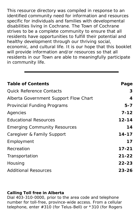This resource directory was compiled in response to an identified community need for information and resources specific for individuals and families with developmental disabilities living in Cochrane. The Town of Cochrane strives to be a complete community to ensure that all residents have opportunities to fulfill their potential and healthy development through our thriving social, economic, and cultural life. It is our hope that this booklet will provide information and/or resources so that all residents in our Town are able to meaningfully participate in community life.

| Table of Contents                     | Page      |
|---------------------------------------|-----------|
| <b>Quick Reference Contacts</b>       | 3         |
| Alberta Government Support Flow Chart | 4         |
| Provincial Funding Programs           | $5 - 7$   |
| Agencies                              | $7 - 12$  |
| <b>Educational Resources</b>          | $12 - 14$ |
| <b>Emerging Community Resources</b>   | 14        |
| Caregiver & Family Support            | $14 - 17$ |
| Employment                            | 17        |
| Recreation                            | $17 - 21$ |
| Transportation                        | $21 - 22$ |
| Housing                               | $22 - 23$ |
| <b>Additional Resources</b>           | $23 - 26$ |

**Calling Toll free in Alberta** Dial 403-310-0000, prior to the area code and telephone number for toll-free, province-wide access. From a cellular telephone, enter #310 (for Telus-Bell) or \*310 (for Rogers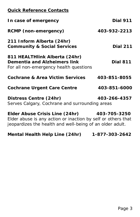#### **Quick Reference Contacts**

| Dial 911                                                                                                                                                                |
|-------------------------------------------------------------------------------------------------------------------------------------------------------------------------|
| 403-932-2213                                                                                                                                                            |
| <b>Dial 211</b>                                                                                                                                                         |
| Dial 811                                                                                                                                                                |
| 403-851-8055                                                                                                                                                            |
| 403-851-6000                                                                                                                                                            |
| 403-266-4357<br>Serves Calgary, Cochrane and surrounding areas                                                                                                          |
| Elder Abuse Crisis Line (24hr) 403-705-3250<br>Elder abuse is any action or inaction by self or others that<br>jeopardizes the health and well-being of an older adult. |
|                                                                                                                                                                         |

**Mental Health Help Line (24hr) 1-877-303-2642**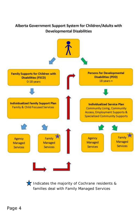

Indicates the majority of Cochrane residents & families deal with Family Managed Services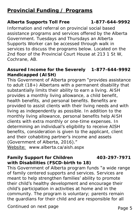#### **Provincial Funding / Programs**

**Alberta Supports Toll Free 1-877-644-9992**

Information and referral on provincial social based assistance programs and services offered by the Alberta Government. Tuesdays and Thursdays an Alberta Supports Worker can be accessed through walk in services to discuss the programs below. Located on the 2nd floor of the Provincial Court House at 213 1 St W, Cochrane, AB.

**Assured Income for the Severely 1-877-644-9992 Handicapped (AISH)** 

This Government of Alberta program "provides assistance to adult (18+) Albertans with a permanent disability that substantially limits their ability to earn a living. AISH provides a monthly living allowance, a child benefit, health benefits, and personal benefits. Benefits are provided to assist clients with their living needs and with living as independently as possible. In addition to the monthly living allowance, personal benefits help AISH clients with extra monthly or one-time expenses. In determining an individual's eligibility to receive AISH benefits, consideration is given to the applicant, client and their cohabiting partner's income and assets (Government of Alberta, 2016)."

Website: [www.alberta.ca/aish.aspx](https://www.alberta.ca/aish.aspx)

**Family Support for Children 403-297-7971 with Disabilities (FSCD-birth to 18)**  This Government of Alberta program funds "a wide range of family centered supports and services. Services are meant to help strengthen families' ability to promote their child's healthy development and encourage their child's participation in activities at home and in the community. The program is voluntary; parents remain the guardians for their child and are responsible for all

Continued on next page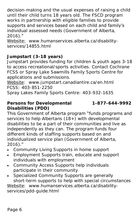decision-making and the usual expenses of raising a child until their child turns 18 years old. The FSCD program works in partnership with eligible families to provide supports and services based on each child and family's individual assessed needs (Government of Alberta, 2016)."

Website: [www.humanservices.alberta.ca/disability](http://www.humanservices.alberta.ca/disability-services/14855.html)[services/14855.html](http://www.humanservices.alberta.ca/disability-services/14855.html)

**Jumpstart (3-18 years)**

Jumpstart provides funding for children & youth ages 3-18 to access recreational/sports activities. Contact Cochrane FCSS or Spray Lake Sawmills Family Sports Centre for applications and submissions.

Website: www.jumpstart.canadiantire.ca/en.html FCSS: 403-851-2250

Spray Lakes Family Sports Centre: 403-932-1635

**Persons for Developmental 1-877-644-9992 Disabilities (PDD)**

This Government of Alberta program "funds programs and services to help Albertans (18+) with developmental disabilities to be a part of their communities and live as independently as they can. The program funds four different kinds of staffing supports based on and individualized service plan (Government of Alberta, 2016)."

- Community Living Supports in home support
- Employment Supports train, educate and support individuals with employment
- Community Access Supports help individuals participate in their community
- Specialized Community Supports are generally short-term supports to help with special circumstances

Website: [www.humanservices.alberta.ca/disability](http://www.humanservices.alberta.ca/disability-services/pdd-guide.html)[services/pdd-guide.html](http://www.humanservices.alberta.ca/disability-services/pdd-guide.html)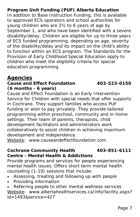**Program Unit Funding (PUF) Alberta Education** In addition to Base Instruction Funding, this is available to approved ECS operators and school authorities for young children who are 2½ to 6 years of age by September 1, and who have been identified with a severe disability/delay. Children are eligible for up to three years of ECS funded programming, depending on age, severity of the disability/delay and its impact on the child's ability to function within an ECS program. The Standards for the Provision of Early Childhood Special Education apply to children who meet the eligibility criteria for special education programming.

#### **Agencies**

**Cause and Effect Foundation 403-523-0150 (6 months - 6 years)**

Cause and Effect Foundation is an Early Intervention Service for Children with special needs that offer supports in Cochrane. They support families who access PUF funding or wish to pay privately. They provide tailored programming within preschool, community and in-home settings. Their team of parents, therapists, child development facilitators and administrators work collaboratively to assist children in achieving maximum development and independence.

Website: [www.causeandeffectfoundation.com](http://www.causeandeffectfoundation.com/)

**Cochrane Community Health 403-851-6111 Centre - Mental Health & Addictions** Provide programs and services for people experiencing mental health issues. Offers short term mental health counseling (1-10) sessions that include:

- Assessing, treating and following up with people
- Providing information

 Referring people to other mental wellness services Website: [www.albertahealthservices.ca/info/facility.aspx?](http://www.albertahealthservices.ca/info/facility.aspx?id=1493&service=427)  $id = 1493$ &service=427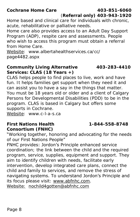**Cochrane Home Care 403-851-6060**

(**Referral only) 403-943-1920**

Home based and clinical care for individuals with chronic, acute, rehabilitative or palliative needs.

Home care also provides access to an Adult Day Support Program (ADP), respite care and assessments. People who wish to access this program must obtain a referral from Home Care.

Website: [www.albertahealthservices.ca/cc/](http://www.albertahealthservices.ca/cc/page4482.aspx) [page4482.aspx](http://www.albertahealthservices.ca/cc/page4482.aspx)

**Community Living Alternative 403-283-4410 Services: CLAS (18 Years +)** CLAS helps people to find places to live, work and have fun. It helps families get support when they need it and can assist you to have a say in the things that matter. You must be 18 years old or older and a client of Calgary Persons for Developmental Disabilities (PDD) to be in the program. CLAS is based in Calgary but offers some

supports in Cochrane.

Website: [www.c-l-a-s.ca](http://www.c-l-a-s.ca)

**First Nations Health 1-844-558-8748** 

**Consortium (FNHC)** 

"Working together, honoring and advocating for the needs of our First Nations People"

FNHC provides: Jordon's Principle enhanced service coordination; the link between the child and the required program, service, supplies, equipment and support. They aim to identify children with needs, facilitate early intervention, develop integrated care plans, connect the child and family to services, and remove the stress of navigating systems. To understand Jordon's Principle and its focus please visit: [www.abfnhc.com.](http://www.abfnhc.com) Website: [nochild4gotten@abfnhc.com](mailto:nochild4gotten@abfnhc.com)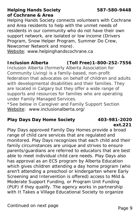#### **Helping Hands Society 587-580-9448 of Cochrane & Area**  Helping Hands Society connects volunteers with Cochrane and Area residents to help with the unmet needs of residents in our community who do not have their own support network, are isolated or low income (Drivers Program, Snow Helper Program, Summer Do Crew, Newcomer Network and more).

Website: www.helpinghandscochrane.ca

**Inclusion Alberta (Toll Free)1-800-252-7556**  Inclusion Alberta (formerly Alberta Association for Community Living) is a family-based, non-profit federation that advocates on behalf of children and adults with developmental disabilities and their families. They are located in Calgary but they offer a wide range of supports and resources for families who are operating under Family Managed Services.

\**See below in Caregiver and Family Support Section* Website: [www.inclusionalberta.org/](http://inclusionalberta.org/)

**Play Days Day Home Society 403-981-2020 ext.221**  Play Days approved Family Day Homes provide a broad range of child care services that are regulated and monitored. Play Days recognizes that each child and their family circumstances are unique and strives to ensure parents/guardians are referred to educators that are best able to meet individual child care needs. Play Days also has approval as an ECS program by Alberta Education which gives children attending a day home program (who aren't attending a preschool or kindergarten where Early Screening and Intervention is offered) access to Mild & Moderate Support Funding, or Program Unit Funding (PUF) if they qualify. The agency works in partnership with *It Takes a Village Educational Society* to organize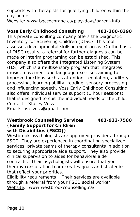supports with therapists for qualifying children within the day home.

Website: www.bgccochrane.ca/play-days/parent-info

**Voss Early Childhood Consulting 403-200-0390** This private consulting company offers the Diagnostic Inventory for Screening Children (DISC). This tool assesses developmental skills in eight areas. On the basis of DISC results, a referral for further diagnosis can be made or interim programing can be established. This company also offers the Integrated Listening System (ILS) which is a multisensory program that integrates music, movement and language exercises aiming to improve functions such as attention, regulation, auditory processing, learning ability, reading, sensory processing and influencing speech. Voss Early Childhood Consulting also offers individual service support (1 hour sessions) that is designed to suit the individual needs of the child. Contact: Stacey Voss Email: ask.voss@gmail.com

**Westbrook Counselling Services 403-932-7580 (Family Support for Children with Disabilities (FSCD))**

Westbrook psychologists are approved providers through FSCD. They are experienced in coordinating specialized services, private teams of therapy consultants in addition to securing appropriate aide support. They also provide clinical supervision to aides for behavioral aide contracts. Their psychologists will ensure that your therapy consultation team creates goals and strategies that reflect your priorities.

Eligibility requirements – Their services are available through a referral from your FSCD social worker. Website: [www.westbrookcounselling.ca/](http://www.westbrookcounselling.ca/)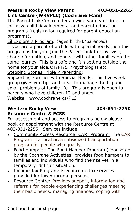**Link Centre (WRVPLC) (Cochrane FCSS)** The Parent Link Centre offers a wide variety of drop-in inclusive child developmental and parent education programs (registration required for parent education programs).

Lil Explorers Program: (ages birth-6/parented) If you are a parent of a child with special needs then this program is for you! Join the Parent Link to play, visit, share information, and connect with other families on the same journey. This is a safe and fun setting outside the home for your aide/OT/PT/ST/Psychologist etc.

**Stepping Stones Triple P Parenting:** 

Supporting Families with Special Needs- This five week group gives you tips and ideas to manage the big and small problems of family life. This program is open to parents who have children 12 and under.

Website: [www.cochrane.ca/PLC](https://www.cochrane.ca/161/Parent-Link-Centre) 

Western Rocky View **403-851-2250 Resource Centre & FCSS**

For assessment and access to programs below please book an appointment with the Resource Centre at 403-851-2255. Services include:

- Community Access Resource (CAR) Program: The CAR Program is a local area subsidized transportation program for people who qualify.
- Food Hampers: The Food Hamper Program (sponsored by the Cochrane Activettes) provides food hampers to families and individuals who find themselves in a temporary, difficult situation.
- Income Tax Program: Free income tax services provided for lower income persons.
- Resource Centre: Provides support, information and referrals for people experiencing challenges meeting their basic needs, managing finances, coping with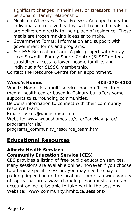significant changes in their lives, or stressors in their personal or family relationship.

- Meals on Wheels For Your Freezer: An opportunity for individuals to receive healthy, well balanced meals that are delivered directly to their place of residence. These meals are frozen making it easier to make.
- Government Forms: Information and support with government forms and programs.
- ACCESS Recreation Card: A pilot project with Spray Lake Sawmills Family Sports Centre (SLSSC) offers subsidized access to lower income families and individuals for SLSSC membership.

Contact the Resource Centre for an appointment.

#### **Wood's Homes 403-270-4102**

Wood's Homes is a multi-service, non-profit children's mental health center based in Calgary but offers some supports to surrounding communities.

Below is information to connect with their community resource team:

Email: [askus@woodshomes.ca](mailto:askus@woodshomes.ca)

Website: [www.woodshomes.ca/site/PageNavigator/](http://www.woodshomes.ca/site/PageNavigator/programs/crisis/programs_community_resource_team.html) [programs/crisis/](http://www.woodshomes.ca/site/PageNavigator/programs/crisis/programs_community_resource_team.html)

[programs\\_community\\_resource\\_team.html](http://www.woodshomes.ca/site/PageNavigator/programs/crisis/programs_community_resource_team.html)

#### **Educational Resources**

**Alberta Health Services** 

**Community Education Service (CES)**

CES provides a listing of free public education services. Many sessions are available online, however if you choose to attend a specific session, you may need to pay for parking depending on the location. There is a wide variety of topics that are always changing. You must create an account online to be able to take part in the sessions. Website: [www.community.hmhc.ca/sessions/](http://community.hmhc.ca/sessions/)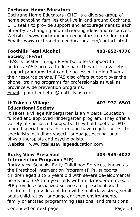#### **Cochrane Home Educators**

Cochrane Home Educators (CHE) is a diverse group of home schooling families that live in and around Cochrane. CHE seeks to provide support and encouragement to each other by exchanging and networking ideas and resources. Website: [www.cochranehomeeducators.com/index.html](http://www.cochranehomeeducators.com/index.html) Email: [www.cochranehomeeducators.com/contact.html](http://www.cochranehomeeducators.com/contact.html)

#### **Foothills Fetal Alcohol 403-652-4776 Society (FFAS)**

FFAS is located in High River but offers support to address FASD across the lifespan. They offer a variety of support programs that can be accessed in High River at their resource centre. FFAS also offers support over the phone, training programs for professionals as well as province wide prevention programs.

Email: pam.henheffer@foothillsfas.com

#### **It Takes a Village 403-932-6501**

**Educational Society**

It Takes a Village Kindergarten is an Alberta Education funded and approved kindergarten program. They offer a variety of specialized supports. They hold spots for PUF funded special needs children and have regular access to specialists including; speech language, occupational, physio therapists and psychologists.

Website: [www.ittakesavillageeducation.com](http://ittakesavillageeducation.com/)

**Rocky View Preschool 403-945-4022**

**Intervention Program (PIP)** Rocky View Schools' Early Childhood Services, known as the Preschool Intervention Program (PIP), supports children aged 3 to 5 years old with severe developmental needs and 3 ½ to 5 year olds with mild/moderate needs. PIP provides specialized services for preschool aged children. It provides children with small class sizes, small adult-child ratios, language enriched environments, family orientated programming sessions, and transitions

Continued on next page example and the Page 13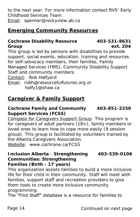to the next year. For more information contact RVS' Early Childhood Services Team.

Email: [spenner@rockyview.ab.ca](mailto:spenner@rockyview.ab.ca)

### **Emerging Community Resources**

**Cochrane Disability Resource 403-531-8631 Group ext. 204** This group is led by persons with disabilities to provide support, social events, education, training and resources for self-advocacy members, their families, Family Managed Services (FMS), Community Disability Support Staff and community members. Contact: Rob Halfyard Email: [robh@resourcefulfutures.org o](mailto:robh@resourcefulfutures.org)r

[halfy1@shaw.ca](mailto:halfy1@shaw.ca)

#### **Caregiver & Family Support**

**Cochrane Family and Community 403-851-2250 Support Services (FCSS)**

Compass for Caregivers Support Group: This program is for caregivers of adult partners (18+), family members or loved ones to learn how to cope more easily (9 session group). This group is facilitated by volunteers trained by the Alberta Caregivers Association. Website: [www.cochrane.ca/FCSS](http://www.cochrane.ca/160/Family-Community-Support-Services)

**Inclusion Alberta** - **Strengthening 403-539-0106 Communities: Strengthening Families (Birth - 17 years)**

This organization assists families to build a more inclusive life for their child in their community. Staff will meet with families, support staff and recreation providers to give them tools to create more inclusive community programming.

The "Find Staff" database is a resource for families to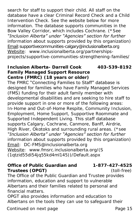search for staff to support their child. All staff on the database have a clear Criminal Record Check and a Child Intervention Check. See the website below for more information. The database supports communities in the Bow Valley Corridor, which includes Cochrane. (\**See "Inclusion Alberta" under "Agencies" section for further information about supports provided by this organization)* Email: supportivecommunities-calgary@inclusionalberta.org Website: [www.inclusionalberta.org/partnerships](http://inclusionalberta.org/partnerships-projects/supportive-communities-strengthening-families/)[projects/supportive-communities-strengthening-families/](http://inclusionalberta.org/partnerships-projects/supportive-communities-strengthening-families/)

**Inclusion Alberta- Darrell Cook 403-539-8192 Family Managed Support Resource Centre (FMRC) (18 years or older)**  The FMRC "Connecting Families to Staff" database is designed for families who have Family Managed Services (FMS) funding for their adult family member with developmental disabilities and are seeking to hire staff to provide support in one or more of the following areas: In-Home and Out-of-Home Respite, Community Inclusion, Employment, Home Support, Supportive Roommate and Supported Independent Living. This staff database supports Calgary, Cochrane, Canmore, Banff, Airdrie, High River, Okotoks and surrounding rural areas. (\**see "Inclusion Alberta" under "Agencies" section for further information about supports provided by this organization)* Email: [DC-FMS@inclusionalberta.org](mailto:DC-FMS@inclusionalberta.org) Website: [www.fmsrc.inclusionalberta.org/\(S](http://fmsrc.inclusionalberta.org/(S(1qtzid55di54jq55kd4ml145))/Default.aspx) [\(1qtzid55di54jq55kd4ml145\)\)/Default.aspx](http://fmsrc.inclusionalberta.org/(S(1qtzid55di54jq55kd4ml145))/Default.aspx)

**Office of Public Guardian and 1-877-427-4525 Trustees (OPGT)** (toll-free)

The Office of the Public Guardian and Trustee provides information, education and support to vulnerable Albertans and their families related to personal and financial matters.

OPGT also provides information and education to Albertans on the tools they can use to safeguard their

Continued on next page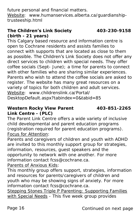future personal and financial matters. Website: [www.humanservices.alberta.ca/guardianship](http://www.humanservices.alberta.ca/guardianship-trusteeship.html)[trusteeship.html](http://www.humanservices.alberta.ca/guardianship-trusteeship.html)

#### **The Children's Link Society** 403-230-9158

**(birth - 21 years)**

This Calgary based resource and information centre is open to Cochrane residents and assists families to connect with supports that are located as close to them as possible. The Children's Link Society does not offer any direct services to children with special needs. They offer coffee socials (Sept- June); a time for parents to connect with other families who are sharing similar experiences. Parents who wish to attend the coffee socials are asked to register. The website has many great resources on a variety of topics for both children and adult services. Website: [www.childrenslink.ca/Portal/](http://www.childrenslink.ca/Portal/DesktopDefault.aspx?tabindex=0&tabid=85) [DesktopDefault.aspx?tabindex=0&tabid=85](http://www.childrenslink.ca/Portal/DesktopDefault.aspx?tabindex=0&tabid=85)

Western Rocky View Parent 403-851-2265 **Link Centre - (PLC)**

The Parent Link Centre offers a wide variety of inclusive child developmental and parent education programs (registration required for parent education programs). Focus for Attention:

Parents and caregivers of children and youth with ADHD are invited to this monthly support group for strategies, information, resources, guest speakers and the opportunity to network with one another. For more information contact fcss@cochrane.ca.

Parents of Anxious Kids:

This monthly group offers support, strategies, information and resources for parents/caregivers of children and youth who may be showing signs of anxiety. For more information contact fcss@cochrane.ca.

Stepping Stones Triple P Parenting: Supporting Families with Special Needs - This five week group provides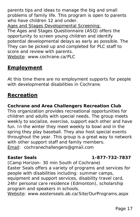parents tips and ideas to manage the big and small problems of family life. This program is open to parents who have children 12 and under.

Ages and Stages Developmental Screening:

The Ages and Stages Questionnaire (ASQ) offers the opportunity to screen young children and identify potential developmental delays as early as possible. The They can be picked up and completed for PLC staff to score and review with parents.

Website: [www.cochrane.ca/PLC](https://www.cochrane.ca/161/Parent-Link-Centre)

#### **Employment**

At this time there are no employment supports for people with developmental disabilities in Cochrane.

#### **Recreation**

**Cochrane and Area Challengers Recreation Club** This organization provides recreational opportunities for children and adults with special needs. The group meets weekly to socialize, exercise, support each other and have fun. In the winter they meet weekly to bowl and in the spring they play baseball. They also host special events throughout the year. This group is a great way to network with other support staff and family members. Email: [cochranechallengers@gmail.com](mailto:cochranechallengers@gmail.com)

#### **Easter Seals 1-877-732-7837**

(Camp Horizon- 30 min South of Cochrane) Easter Seals offers a variety of programs and services for people with disabilities including: summer camps, equipment and support services, disability travel card, 24hr personal care residence (Edmonton), scholarship program and speakers in schools.

Website: www.[easterseals.ab.ca/Site/OurPrograms.aspx](http://easterseals.ab.ca/Site/OurPrograms.aspx)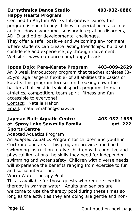**Eurhythmics Dance Studio 403-932-0880 Happy Hearts Program** Certified In Rhythm Works Integrative Dance, this program is open to any child with special needs such as

autism, down syndrome, sensory integration disorders, ADHD and other developmental challenges.

They offer a safe, positive and welcoming environment where students can create lasting friendships, build self confidence and experience joy through movement. Website: www.eurdance.com/happy-hearts

**Ippon Dojo: Para-Karate Program 403-809-2629** An 8 week introductory program that teaches athletes (8- 25yrs, age range is flexible) of all abilities the basics of karate. This program focuses on breaking down the barriers that exist in typical sports programs to make athletics, competition, team spirit, fitness and fun accessible to everyone! Contact: Natalie Mahon Email: nataliemahon@shaw.ca

**Jayman Built Aquatic Centre 403-932-1635 at Spray Lake Sawmills Family ext. 222 Sports Centre**  Adapted Aquatics Program

An adapted Aquatics Program for children and youth in Cochrane and area. This program provides modified swimming instruction to give children with cognitive and physical limitations the skills they need for independent swimming and water safety. Children with diverse needs will experience the benefits ranging from exercise to fun and social interaction.

Warm Water Therapy Pool

This is available for those guests who require specific therapy in warmer water. Adults and seniors are welcome to use the therapy pool during these times so long as the activities they are doing are gentle and non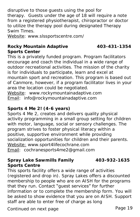disruptive to those guests using the pool for therapy. Guests under the age of 18 will require a note from a registered physiotherapist, chiropractor or doctor to utilize the therapy pool during designated Therapy Swim Times.

Website: www.slssportscentre.com/

## Rocky Mountain Adaptive 403-431-1354

**Sports Center**

This is a privately funded program. Program facilitators encourage and coach the individual in a wide range of outdoor recreational activities. The mission of the charity is for individuals to participate, learn and excel at mountain sport and recreation. This program is based out of Canmore, however, if a program facilitator lives in your area the location could be negotiated.

Website: [www.rockymountainadaptive.com](http://rockymountainadaptive.com/) Email: [info@rockymountainadaptive.com](mailto:info@rockymountainadaptive.com)

#### **Sports 4 Me 2! (4-6 years)**

Sports 4 Me 2, creates and delivers quality physical activity programming in a small group setting for children with motor, language, social or sensory challenges. The program strives to foster physical literacy within a positive, supportive environment while providing socialization opportunities for children and their parents. Website: www.sport4lifecochrane.com Email: [cochranesports4me2@gmail.com](mailto:cochranesports4me2@gmail.com)

#### **Spray Lake Sawmills Family 403-932-1635 Sports Centre**

This sports facility offers a wide range of activities (registered and drop in). Spray Lakes offers a discounted membership to people who are on AISH for the programs that they run. Contact "guest services" for further information or to complete the membership form. You will be asked to show evidence that you are on AISH. Support staff are able to enter free of charge as long

Continued on next page entitled by the Page 19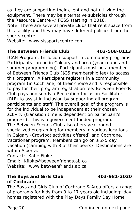as they are supporting their client and not utilizing the equipment. There may be alternative subsidies through the Resource Centre @ FCSS starting in 2018. Note: There are several private clubs that rent space from this facility and they may have different policies from the sports centre.

Website: [www.slssportscentre.com](http://www.slssportscentre.com/)

**The Between Friends Club 403-508-0113**  ICAN Program: Inclusion support in community programs. Participants can be in Calgary and area (year round and summer programming). Participants must be a member of Between Friends Club (\$35 membership fee) to access this program. A Participant registers in a community program (in Cochrane) of their choice and is responsible to pay for their program registration fee. Between Friends Club pays and sends a Recreation Inclusion Facilitator (RIF) to assist in inclusion by supporting all program participants and staff. The overall goal of the program is for the individual to be independent at their chosen activity (transition time is dependent on participant's progress). This is a government funded program. The Between Friends Club also offers year round specialized programing for members in various locations in Calgary (Crowfoot activities offered) and Cochrane. *Vacationer program:* Members can go on a 2-5 day vacation (camping with 8 of their peers). Destinations are within Alberta.

Contact: Katie Fipke Email: Kfipke@betweenfriends.ab.ca Website: [www.betweenfriends.ab.ca](https://betweenfriends.ab.ca/)

**The Boys and Girls Club 403-981-2020** 

**of Cochrane**

The Boys and Girls Club of Cochrane & Area offers a range of programs for kids from 0 to 17 years old including: day homes registered with the Play Days Family Day Home

Page 20 **Continued on next page**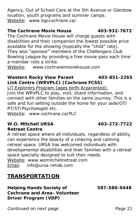Agency, Out of School Care at the 5th Avenue or Glenbow location, youth programs and summer camps. Website: [www.bgccochrane.ca/](http://www.bgccochrane.ca/)

**The Cochrane Movie House 403-932-7672** The Cochrane Movie House will charge guests with disabilities and their companion the lowest possible price available for the showing (typically the "child" rate). They also "sponsor" members of the Challengers Club Bowling League by providing a free movie pass each time a member rolls a strike.

Website: [www.cochranemoviehouse.com](http://www.cochranemoviehouse.com/)

Western Rocky View Parent 403-851-2265 **Link Centre (WRVPLC) (Cochrane FCSS)** Li'l Explorers Program (ages birth-6/parented): Join the WRVPLC to play, visit, share information, and connect with other families on the same journey. This is a safe and fun setting outside the home for your aide/OT/ PT/ST/Psychologist etc.

Website: [www.cochrane.ca/PLC](https://www.cochrane.ca/161/Parent-Link-Centre)

**W.O. Mitchell URSA 403-272-7722 Retreat Centre**

A retreat space where all individuals, regardless of ability, can experience the beauty of a relaxing and calming retreat space. URSA has welcomed individuals with developmental disabilities and their families with a retreat space specially designed to suit their needs. Website: www.womitchellretreat.com Email: info@ursa-rehab.com

#### **TRANSPORTATION**

**Helping Hands Society of 587-580-9448 Cochrane and Area- Volunteer Driver Program (VDP)**

Continued on next page example and the continued on next page and the Page 21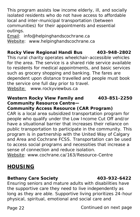This program assists low income elderly, ill, and socially isolated residents who do not have access to affordable local and inter-municipal transportation (between communities) for their appointments and essential outings.

Email: [info@helpinghandscochrane.ca](mailto:info@helpinghandscochrane.ca) Website: [www.helpinghandscochrane.ca](http://helpinghandscochrane.ca/)

**Rocky View Regional Handi Bus 403-948-2802** This rural charity operates wheelchair-accessible vehicles for the area. The service is a shared ride service available to residents for medical appointments, and basic services such as grocery shopping and banking. The fares are dependent upon distance travelled and people must book the service one full day prior to travel. Website: [www.rockyviewbus.ca](http://www.rockyviewbus.ca/)

**Western Rocky View Family and 403-851-2250 Community Resource Centre—**

**Community Access Resource (CAR Program)** CAR is a local area subsidized transportation program for people who qualify under the Low Income Cut Off and/or have a situational barrier that increases their reliance on public transportation to participate in the community. This program is in partnership with the United Way of Calgary and Area and Cochrane FCSS. Transportation can be used to access social programs and necessities that increase a sense of connection and reduce isolation.

Website: [www.cochrane.ca/163/Resource-Centre](https://www.cochrane.ca/163/Resource-Centre)

#### **HOUSING**

**Bethany Care Society 403-932-6422** Ensuring seniors and mature adults with disabilities have the supportive care they need to live independently as long as they are able. Supportive living prioritizes 24-hour physical, spiritual, emotional and social care and

Page 22 Continued on next page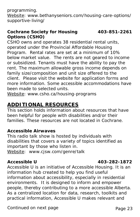programming.

Website: www.bethanyseniors.com/housing-care-options/ supportive-living/

#### **Cochrane Society for Housing 403-851-2261 Options (CSHO)**

CSHO owns and operates 38 residential rental units, operated under the Provincial Affordable Housing Program. Rental rates are set at a minimum of 10% below market value. The rents are not geared to income or subsidized. Tenants must have the ability to pay the rent. The maximum allowable gross income depends on family size/composition and unit size offered to the client. Please visit the website for application forms and more information. Some accessible accommodations have been made to selected units.

Website: www.csho.ca/housing-programs

#### **ADDITIONAL RESOURCES**

*This section holds information about resources that have been helpful for people with disabilities and/or their families. These resources are not located in Cochrane.*

#### **Accessible Airwaves**

This radio talk show is hosted by individuals with disabilities that covers a variety of topics identified as important by those who listen in. Website: [www.cjsw.com/genre/talk](http://cjsw.com/genre/talk/)

#### **Accessible U 403-282-1872**

Accessible U is an initiative of Accessible Housing. It is an information hub created to help you find useful information about accessibility, especially in residential environments. It is designed to inform and empower people, thereby contributing to a more accessible Alberta. As a centralized location for data, research, toolkits and practical information, Accessible U makes relevant and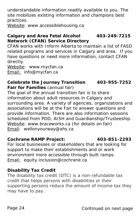understandable information readily available to you. The site mobilizes existing information and champions best practices.

Website: www.accessiblehousing.ca

**Calgary and Area Fetal Alcohol 403-249-7215 Network (CFAN) Service Directory**

CFAN works with Inform Alberta to maintain a list of FASD related programs and services in Calgary and area. If you have questions or need more information, contact CFAN directly.

Website: www.mycfan.ca Email: info@mycfan.ca

**Celebrate the Journey Transition 403-955-7252 Fair for Families** (annual fair) The goal of the annual transition fair is to share information about adult resources in Calgary and surrounding area. A variety of agencies, organizations and associations will be at the Fair to answer questions and provide information. There are also information sessions scheduled from PDD, AISH and Guardianship/Trusteeship. Website: www.braceworks.ca (for details on fair) Email: wellonyourway@ahs.ca

**Cochrane RAMP Project: 403-851-2293** For local businesses or stakeholders that are looking for support to make their establishments and or work environment more accessible through built ramps.

Email: equity.inclusion@cochrane.ca

#### **Disability Tax Credit**

The disability tax credit (DTC) is a non-refundable tax credit that helps persons with disabilities or their supporting persons reduce the amount of income tax they may have to pay.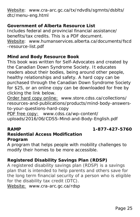Website: [www.cra-arc.gc.ca/tx/ndvdls/sgmnts/dsblts/](http://www.cra-arc.gc.ca/tx/ndvdls/sgmnts/dsblts/dtc/menu-eng.html) [dtc/menu-eng.html](http://www.cra-arc.gc.ca/tx/ndvdls/sgmnts/dsblts/dtc/menu-eng.html)

**Government of Alberta Resource List** Includes federal and provincial financial assistance/ benefits/tax credits. This is a PDF document. Website: [www.humanservices.alberta.ca/documents/fscd](http://www.humanservices.alberta.ca/documents/fscd-resource-list.pdf) [-resource-list.pdf](http://www.humanservices.alberta.ca/documents/fscd-resource-list.pdf)

**Mind and Body Resource Book**

This book was written for Self-Advocates and created by the Canadian Down Syndrome Society. It educates readers about their bodies, being around other people, healthy relationships and safety. A hard copy can be purchased through the Canadian Down Syndrome Society for \$25, or an online copy can be downloaded for free by clicking the link below.

Order hard copy online: [www.store.cdss.ca/collections/](https://store.cdss.ca/collections/resources-and-publications/products/mind-body-answers-to-your-questions-hard-copy) [resources-and-publications/products/mind-body-answers](https://store.cdss.ca/collections/resources-and-publications/products/mind-body-answers-to-your-questions-hard-copy)[to-your-questions-hard-copy](https://store.cdss.ca/collections/resources-and-publications/products/mind-body-answers-to-your-questions-hard-copy)

PDF free copy: [www.cdss.ca/wp-content/](http://cdss.ca/wp-content/uploads/2016/06/CDSS-Mind-and-Body-English.pdf) [uploads/2016/06/CDSS-Mind-and-Body-English.pdf](http://cdss.ca/wp-content/uploads/2016/06/CDSS-Mind-and-Body-English.pdf)

**RAMP 1-877-427-5760**

**Residential Access Modification Program**

A program that helps people with mobility challenges to modify their homes to be more accessible.

**Registered Disability Savings Plan (RDSP)**

A registered disability savings plan (RDSP) is a savings plan that is intended to help parents and others save for the long term financial security of a person who is eligible for the disability tax credit (DTC). Website: [www.cra-arc.gc.ca/rdsp](http://www.cra-arc.gc.ca/rdsp/)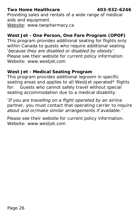**Two Home Healthcare 403-932-6246** Providing sales and rentals of a wide range of medical aids and equipment. Website: www.twopharmacy.ca

**West Jet - One Person, One Fare Program (OPOF)** This program provides additional seating for flights only within Canada to guests who require additional seating '*because they are disabled or disabled by obesity'*. Please see their website for current policy information. Website: www.westjet.com

**West Jet - Medical Seating Program** This program provides additional legroom in specific seating areas and applies to all WestJet operated\* flights for: *Guests who cannot safely travel without special seating accommodation due to a medical disability.*

*'If you are travelling on a flight operated by an [airline](https://www.westjet.com/en-ca/about-us/airline-partners)  [partner,](https://www.westjet.com/en-ca/about-us/airline-partners) you must contact that operating carrier to inquire about and or/make similar arrangements if available.'*

Please see their website for current policy information. Website: www.westjet.com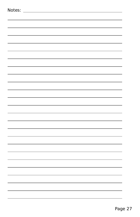| Notes: |  |  |              |
|--------|--|--|--------------|
|        |  |  |              |
|        |  |  |              |
|        |  |  |              |
|        |  |  |              |
|        |  |  |              |
|        |  |  |              |
|        |  |  |              |
|        |  |  |              |
|        |  |  |              |
|        |  |  |              |
|        |  |  |              |
|        |  |  |              |
|        |  |  |              |
|        |  |  |              |
|        |  |  |              |
|        |  |  |              |
|        |  |  |              |
|        |  |  |              |
|        |  |  |              |
|        |  |  | $\mathbf{r}$ |
|        |  |  |              |
|        |  |  |              |
|        |  |  | ۰,           |
|        |  |  |              |